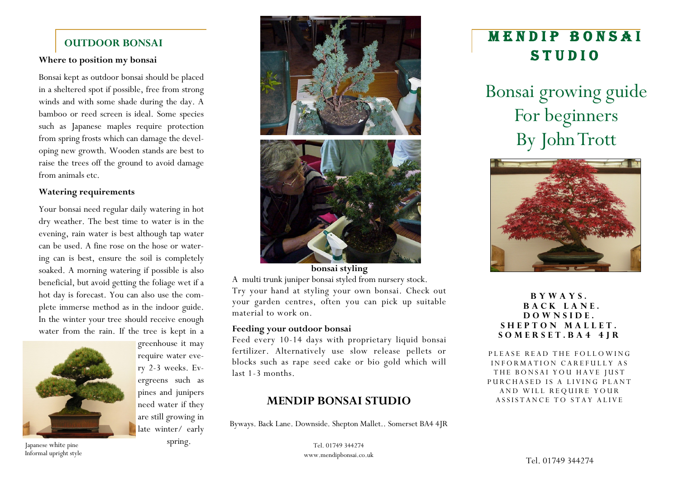#### **Where to position my bonsai**

Bonsai kept as outdoor bonsai should be placed in a sheltered spot if possible, free from strong winds and with some shade during the day. A bamboo or reed screen is ideal. Some species such as Japanese maples require protection from spring frosts which can damage the developing new growth. Wooden stands are best to raise the trees off the ground to avoid damage from animals etc.

#### **Watering requirements**

Your bonsai need regular daily watering in hot dry weather. The best time to water is in the evening, rain water is best although tap water can be used. A fine rose on the hose or watering can is best, ensure the soil is completely soaked. A morning watering if possible is also beneficial, but avoid getting the foliage wet if a hot day is forecast. You can also use the complete immerse method as in the indoor guide. In the winter your tree should receive enough water from the rain. If the tree is kept in a



greenhouse it may require water every 2-3 weeks. Evergreens such as pines and junipers need water if they are still growing in late winter/ early



A multi trunk juniper bonsai styled from nursery stock. Try your hand at styling your own bonsai. Check out your garden centres, often you can pick up suitable material to work on.

#### **Feeding your outdoor bonsai**

blocks such as rape seed cake or bio gold which will Feed every 10-14 days with proprietary liquid bonsai fertilizer. Alternatively use slow release pellets or last 1-3 months.

# **MENDIP BONSAI STUDIO**

Byways. Back Lane. Downside. Shepton Mallet.. Somerset BA4 4JR

spring.

Tel. 01749 344274 www.mendipbonsai.co.uk

# S T U D I O

Bonsai growing guide For beginners By John Trott



**B Y W A Y S . B A C K L A N E . D O W N S I D E .** SHEPTON MALLET. **S O M E R S E T . B A 4 4 J R**

PLEASE READ THE FOLLOWING INFORMATION CAREFULLY AS THE BONSAI YOU HAVE JUST PURCHASED IS A LIVING PLANT AND WILL REQUIRE YOUR ASSISTANCE TO STAY ALIVE

Japanese white pine Informal upright style